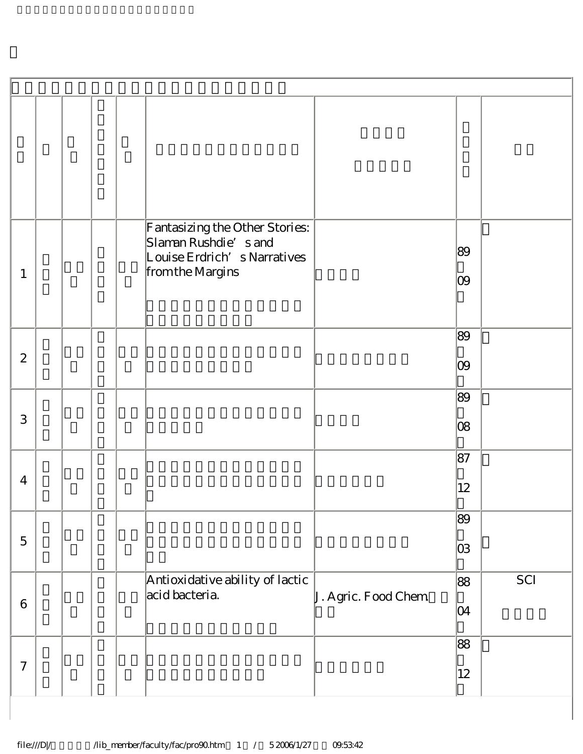| $\mathbf{1}$     |  |  | Fantasizing the Other Stories:<br>Slaman Rushdie's and<br>Louise Erdrich's Narratives<br>from the Margins |                     | 89<br>09     |     |
|------------------|--|--|-----------------------------------------------------------------------------------------------------------|---------------------|--------------|-----|
| $\boldsymbol{2}$ |  |  |                                                                                                           |                     | 89<br>09     |     |
| 3                |  |  |                                                                                                           |                     | 89<br>08     |     |
| $\overline{4}$   |  |  |                                                                                                           |                     | 87<br>12     |     |
| $\mathbf 5$      |  |  |                                                                                                           |                     | 89<br>03     |     |
| $\,6$            |  |  | Antioxidative ability of lactic<br>acid bacteria.                                                         | J. Agric. Food Chem | 88<br>04     | SCI |
| $\boldsymbol{7}$ |  |  |                                                                                                           |                     | 88<br>$12\,$ |     |

I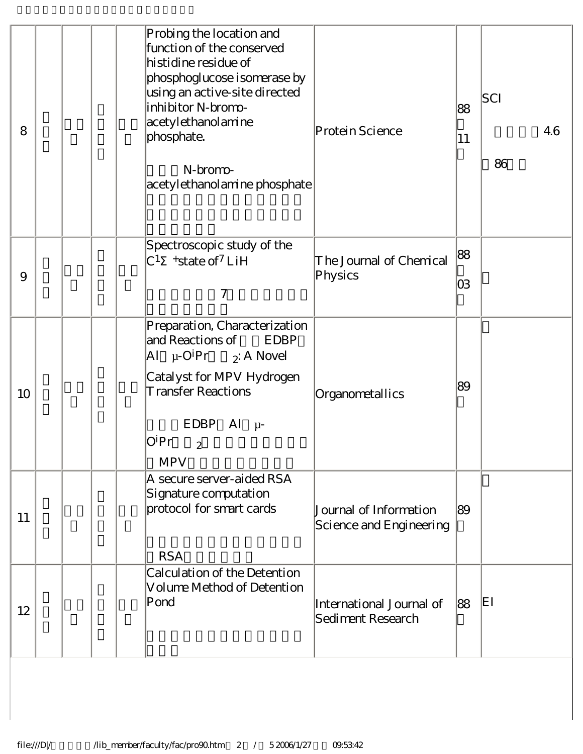| 8        |  | Probing the location and<br>function of the conserved<br>histidine residue of<br>phosphoglucose isomerase by<br>using an active-site directed<br>inhibitor N-bromo-<br>acetylethanolamine<br>phosphate.<br>N-bromo-<br>acetylethanolamine phosphate                  | Protein Science                                   | 88<br> 11 | SCI<br>86 | 4.6 |
|----------|--|----------------------------------------------------------------------------------------------------------------------------------------------------------------------------------------------------------------------------------------------------------------------|---------------------------------------------------|-----------|-----------|-----|
| $\Theta$ |  | Spectroscopic study of the<br>$C^1$ +state of <sup>7</sup> LiH<br>7                                                                                                                                                                                                  | The Journal of Chemical<br>Physics                | 88<br>03  |           |     |
| 10       |  | Preparation, Characterization<br>and Reactions of<br>EDBP<br>$\begin{vmatrix} \Delta l & \mu \text{-} O^i Pr & \bar{z} \end{vmatrix}$ A Novel<br>Catalyst for MPV Hydrogen<br><b>Transfer Reactions</b><br>$EDBP$ Al $\mu$ -<br>OiPr<br>$\overline{c}$<br><b>MPV</b> | Organometallics                                   | 89        |           |     |
| 11       |  | A secure server-aided RSA<br>Signature computation<br>protocol for smart cards<br><b>RSA</b>                                                                                                                                                                         | Journal of Information<br>Science and Engineering | 89        |           |     |
| 12       |  | Calculation of the Detention<br>Volume Method of Detention<br>Pond                                                                                                                                                                                                   | International Journal of<br>Sediment Research     | 88        | EI        |     |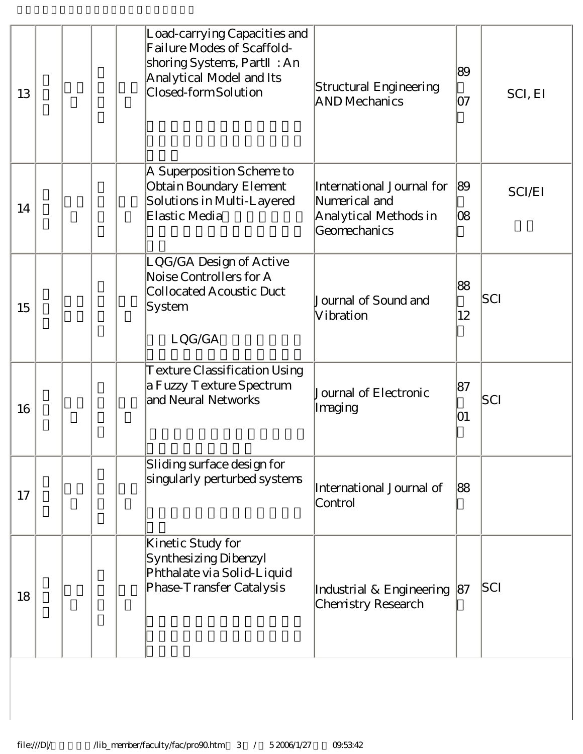| 13 | Load-carrying Capacities and<br>Failure Modes of Scaffold-<br>shoring Systems, Part : An<br>Analytical Model and Its<br>Closed-form Solution | Structural Engineering<br><b>AND Mechanics</b>                                      | 89<br>07 | SCI, EI       |
|----|----------------------------------------------------------------------------------------------------------------------------------------------|-------------------------------------------------------------------------------------|----------|---------------|
| 14 | A Superposition Scheme to<br>Obtain Boundary Element<br>Solutions in Multi-Layered<br>Elastic Media                                          | International Journal for<br>Numerical and<br>Analytical Methods in<br>Geomechanics | 89<br>08 | <b>SCI/EI</b> |
| 15 | LQG/GA Design of Active<br>Noise Controllers for A<br><b>Collocated Acoustic Duct</b><br>System<br>LQG/GA                                    | Journal of Sound and<br>Vibration                                                   | 88<br>12 | SCI           |
| 16 | Texture Classification Using<br>a Fuzzy Texture Spectrum<br>and Neural Networks                                                              | Journal of Electronic<br>Imaging                                                    | 87<br>01 | SCI           |
| 17 | Sliding surface design for<br>singularly perturbed systems                                                                                   | International Journal of<br>Control                                                 | 88       |               |
| 18 | Kinetic Study for<br>Synthesizing Dibenzyl<br>Phthalate via Solid-Liquid<br>Phase-Transfer Catalysis                                         | Industrial & Engineering<br>Chemistry Research                                      | 87       | SCI           |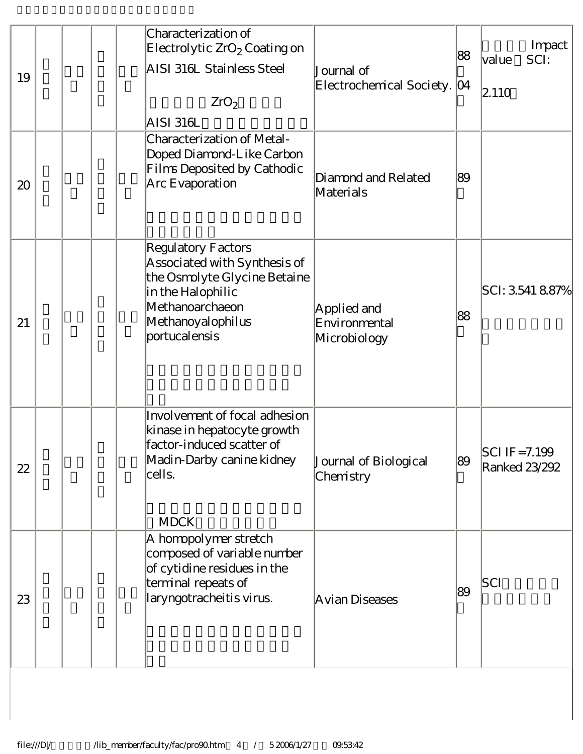| 19 |  | Characterization of<br>Electrolytic $ZrO2$ Coating on<br>AISI 316L Stainless Steel<br>ZrO <sub>2</sub><br>AISI 316L                                              | Journal of<br>Electrochemical Society. [04   | 88 | Impact<br>lvalue<br>SCI:<br> 2.110 |
|----|--|------------------------------------------------------------------------------------------------------------------------------------------------------------------|----------------------------------------------|----|------------------------------------|
| 20 |  | Characterization of Metal-<br>Doped Diamond-Like Carbon<br>Films Deposited by Cathodic<br>Arc Evaporation                                                        | Diamond and Related<br>Materials             | 89 |                                    |
| 21 |  | Regulatory Factors<br>Associated with Synthesis of<br>the Osmolyte Glycine Betaine<br>in the Halophilic<br>Methanoarchaeon<br>Methanoyalophilus<br>portucalensis | Applied and<br>Environmental<br>Microbiology | 88 | $ SCI: 3.5418.87\% $               |
| 22 |  | Involvement of focal adhesion<br>kinase in hepatocyte growth<br>factor-induced scatter of<br>Madin-Darby canine kidney<br>cells.<br><b>MDCK</b>                  | Journal of Biological<br>Chemistry           | 89 | $ SCIIF = 7.199$<br>Ranked 23/292  |
| 23 |  | A homopolymer stretch<br>composed of variable number<br>of cytidine residues in the<br>terminal repeats of<br>laryngotracheitis virus.                           | Avian Diseases                               | 89 | SCI                                |